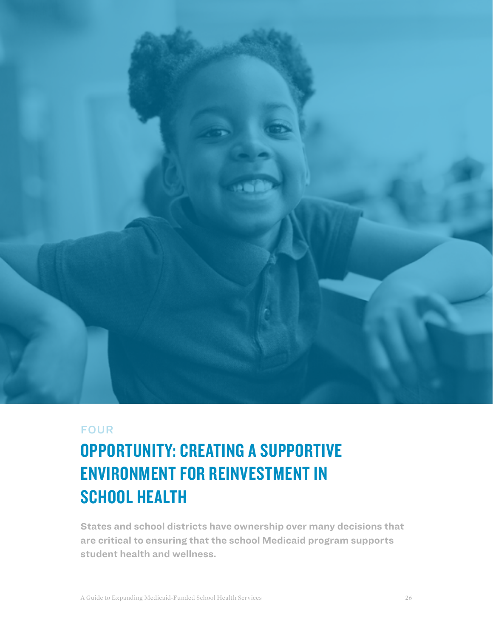

## FOUR

# OPPORTUNITY: CREATING A SUPPORTIVE ENVIRONMENT FOR REINVESTMENT IN SCHOOL HEALTH

**States and school districts have ownership over many decisions that are critical to ensuring that the school Medicaid program supports student health and wellness.**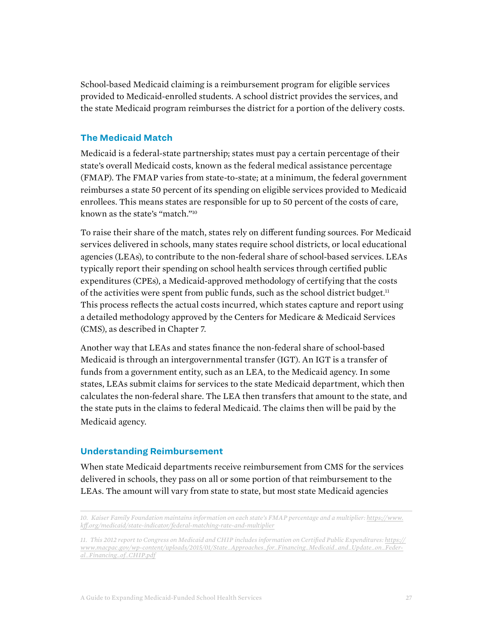School-based Medicaid claiming is a reimbursement program for eligible services provided to Medicaid-enrolled students. A school district provides the services, and the state Medicaid program reimburses the district for a portion of the delivery costs.

### **The Medicaid Match**

Medicaid is a federal-state partnership; states must pay a certain percentage of their state's overall Medicaid costs, known as the federal medical assistance percentage (FMAP). The FMAP varies from state-to-state; at a minimum, the federal government reimburses a state 50 percent of its spending on eligible services provided to Medicaid enrollees. This means states are responsible for up to 50 percent of the costs of care, known as the state's "match."10

To raise their share of the match, states rely on different funding sources. For Medicaid services delivered in schools, many states require school districts, or local educational agencies (LEAs), to contribute to the non-federal share of school-based services. LEAs typically report their spending on school health services through certified public expenditures (CPEs), a Medicaid-approved methodology of certifying that the costs of the activities were spent from public funds, such as the school district budget.11 This process reflects the actual costs incurred, which states capture and report using a detailed methodology approved by the Centers for Medicare & Medicaid Services (CMS), as described in Chapter 7.

Another way that LEAs and states finance the non-federal share of school-based Medicaid is through an intergovernmental transfer (IGT). An IGT is a transfer of funds from a government entity, such as an LEA, to the Medicaid agency. In some states, LEAs submit claims for services to the state Medicaid department, which then calculates the non-federal share. The LEA then transfers that amount to the state, and the state puts in the claims to federal Medicaid. The claims then will be paid by the Medicaid agency.

#### **Understanding Reimbursement**

When state Medicaid departments receive reimbursement from CMS for the services delivered in schools, they pass on all or some portion of that reimbursement to the LEAs. The amount will vary from state to state, but most state Medicaid agencies

<sup>10.</sup> Kaiser Family Foundation maintains information on each state's FMAP percentage and a multiplier: *[https://www.](https://www.kff.org/medicaid/state-indicator/federal-matching-rate-and-multiplier) [kff.org/medicaid/state-indicator/federal-matching-rate-and-multiplier](https://www.kff.org/medicaid/state-indicator/federal-matching-rate-and-multiplier)*

*<sup>11.</sup> This 2012 report to Congress on Medicaid and CHIP includes information on Certified Public Expenditures: [https://](https://www.macpac.gov/wp-content/uploads/2015/01/State_Approaches_for_Financing_Medicaid_and_Update_on_Federal_Financing_of_CHIP.pdf) [www.macpac.gov/wp-content/uploads/2015/01/State\\_Approaches\\_for\\_Financing\\_Medicaid\\_and\\_Update\\_on\\_Feder](https://www.macpac.gov/wp-content/uploads/2015/01/State_Approaches_for_Financing_Medicaid_and_Update_on_Federal_Financing_of_CHIP.pdf)[al\\_Financing\\_of\\_CHIP.pdf](https://www.macpac.gov/wp-content/uploads/2015/01/State_Approaches_for_Financing_Medicaid_and_Update_on_Federal_Financing_of_CHIP.pdf)*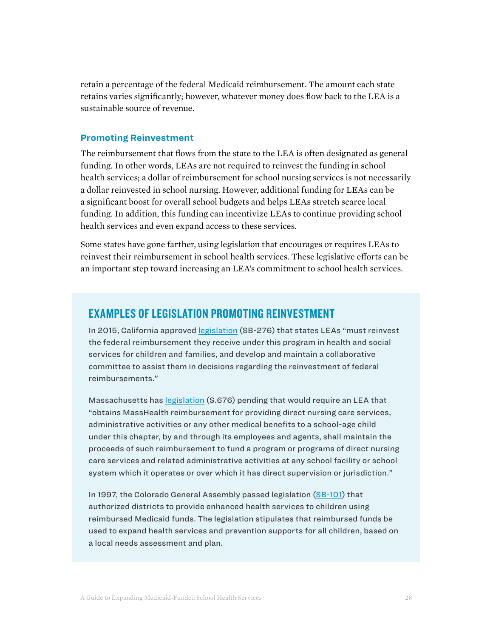retain a percentage of the federal Medicaid reimbursement. The amount each state retains varies significantly; however, whatever money does flow back to the LEA is a sustainable source of revenue.

#### **Promoting Reinvestment**

The reimbursement that flows from the state to the LEA is often designated as general funding. In other words, LEAs are not required to reinvest the funding in school health services; a dollar of reimbursement for school nursing services is not necessarily a dollar reinvested in school nursing. However, additional funding for LEAs can be a significant boost for overall school budgets and helps LEAs stretch scarce local funding. In addition, this funding can incentivize LEAs to continue providing school health services and even expand access to these services.

Some states have gone farther, using legislation that encourages or requires LEAs to reinvest their reimbursement in school health services. These legislative efforts can be an important step toward increasing an LEA's commitment to school health services.

## EXAMPLES OF LEGISLATION PROMOTING REINVESTMENT

In 2015, California approved [legislation](https://leginfo.legislature.ca.gov/faces/billNavClient.xhtml?bill_id=201520160SB276) (SB-276) that states LEAs "must reinvest the federal reimbursement they receive under this program in health and social services for children and families, and develop and maintain a collaborative committee to assist them in decisions regarding the reinvestment of federal reimbursements."

Massachusetts has [legislation](https://malegislature.gov/Bills/191/SD1966) (S.676) pending that would require an LEA that "obtains MassHealth reimbursement for providing direct nursing care services, administrative activities or any other medical benefits to a school-age child under this chapter, by and through its employees and agents, shall maintain the proceeds of such reimbursement to fund a program or programs of direct nursing care services and related administrative activities at any school facility or school system which it operates or over which it has direct supervision or jurisdiction."

In 1997, the Colorado General Assembly passed legislation [\(SB-101\)](https://leg.colorado.gov/sites/default/files/images/olls/1997a_sl_222.pdf) that authorized districts to provide enhanced health services to children using reimbursed Medicaid funds. The legislation stipulates that reimbursed funds be used to expand health services and prevention supports for all children, based on a local needs assessment and plan.